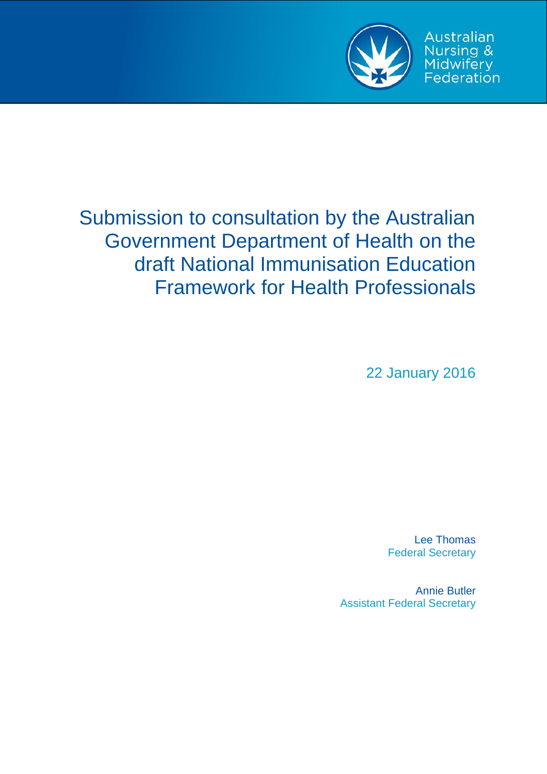

Australian Nursing &<br>Midwifery<br>Federation

# Submission to consultation by the Australian Government Department of Health on the draft National Immunisation Education Framework for Health Professionals

22 January 2016

Lee Thomas Federal Secretary

Annie Butler Assistant Federal Secretary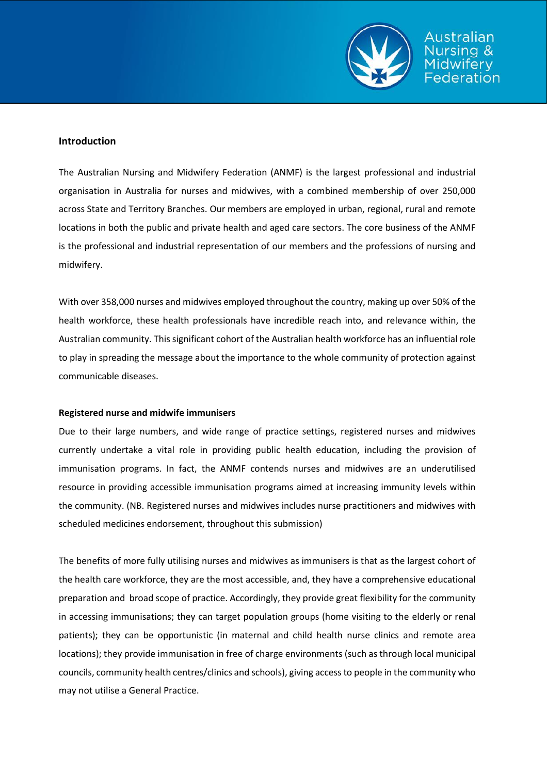

#### **Introduction**

The Australian Nursing and Midwifery Federation (ANMF) is the largest professional and industrial organisation in Australia for nurses and midwives, with a combined membership of over 250,000 across State and Territory Branches. Our members are employed in urban, regional, rural and remote locations in both the public and private health and aged care sectors. The core business of the ANMF is the professional and industrial representation of our members and the professions of nursing and midwifery.

With over 358,000 nurses and midwives employed throughout the country, making up over 50% of the health workforce, these health professionals have incredible reach into, and relevance within, the Australian community. This significant cohort of the Australian health workforce has an influential role to play in spreading the message about the importance to the whole community of protection against communicable diseases.

#### **Registered nurse and midwife immunisers**

Due to their large numbers, and wide range of practice settings, registered nurses and midwives currently undertake a vital role in providing public health education, including the provision of immunisation programs. In fact, the ANMF contends nurses and midwives are an underutilised resource in providing accessible immunisation programs aimed at increasing immunity levels within the community. (NB. Registered nurses and midwives includes nurse practitioners and midwives with scheduled medicines endorsement, throughout this submission)

The benefits of more fully utilising nurses and midwives as immunisers is that as the largest cohort of the health care workforce, they are the most accessible, and, they have a comprehensive educational preparation and broad scope of practice. Accordingly, they provide great flexibility for the community in accessing immunisations; they can target population groups (home visiting to the elderly or renal patients); they can be opportunistic (in maternal and child health nurse clinics and remote area locations); they provide immunisation in free of charge environments (such as through local municipal councils, community health centres/clinics and schools), giving access to people in the community who may not utilise a General Practice.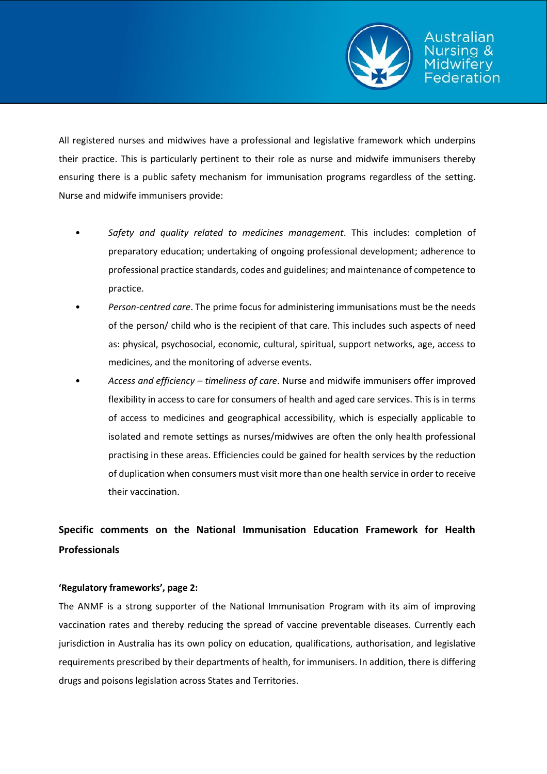

All registered nurses and midwives have a professional and legislative framework which underpins their practice. This is particularly pertinent to their role as nurse and midwife immunisers thereby ensuring there is a public safety mechanism for immunisation programs regardless of the setting. Nurse and midwife immunisers provide:

- *Safety and quality related to medicines management*. This includes: completion of preparatory education; undertaking of ongoing professional development; adherence to professional practice standards, codes and guidelines; and maintenance of competence to practice.
- *Person-centred care*. The prime focus for administering immunisations must be the needs of the person/ child who is the recipient of that care. This includes such aspects of need as: physical, psychosocial, economic, cultural, spiritual, support networks, age, access to medicines, and the monitoring of adverse events.
- *Access and efficiency – timeliness of care*. Nurse and midwife immunisers offer improved flexibility in access to care for consumers of health and aged care services. This is in terms of access to medicines and geographical accessibility, which is especially applicable to isolated and remote settings as nurses/midwives are often the only health professional practising in these areas. Efficiencies could be gained for health services by the reduction of duplication when consumers must visit more than one health service in order to receive their vaccination.

# **Specific comments on the National Immunisation Education Framework for Health Professionals**

# **'Regulatory frameworks', page 2:**

The ANMF is a strong supporter of the National Immunisation Program with its aim of improving vaccination rates and thereby reducing the spread of vaccine preventable diseases. Currently each jurisdiction in Australia has its own policy on education, qualifications, authorisation, and legislative requirements prescribed by their departments of health, for immunisers. In addition, there is differing drugs and poisons legislation across States and Territories.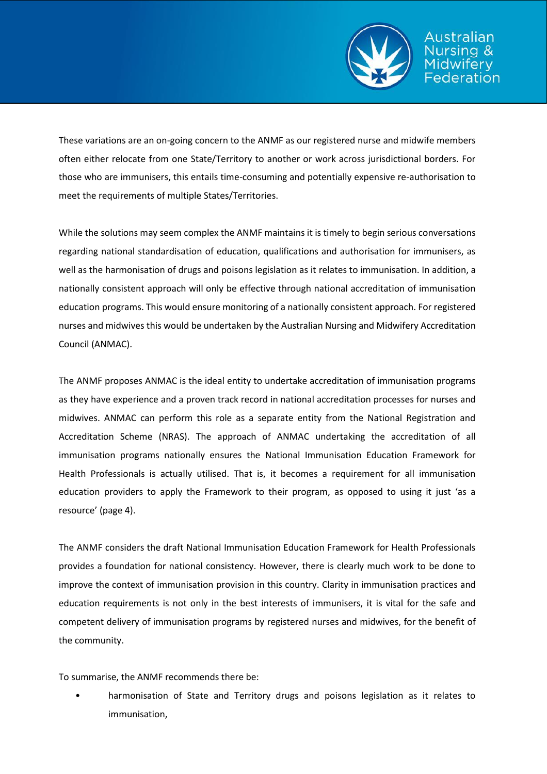

ustralian

These variations are an on-going concern to the ANMF as our registered nurse and midwife members often either relocate from one State/Territory to another or work across jurisdictional borders. For those who are immunisers, this entails time-consuming and potentially expensive re-authorisation to meet the requirements of multiple States/Territories.

While the solutions may seem complex the ANMF maintains it is timely to begin serious conversations regarding national standardisation of education, qualifications and authorisation for immunisers, as well as the harmonisation of drugs and poisons legislation as it relates to immunisation. In addition, a nationally consistent approach will only be effective through national accreditation of immunisation education programs. This would ensure monitoring of a nationally consistent approach. For registered nurses and midwives this would be undertaken by the Australian Nursing and Midwifery Accreditation Council (ANMAC).

The ANMF proposes ANMAC is the ideal entity to undertake accreditation of immunisation programs as they have experience and a proven track record in national accreditation processes for nurses and midwives. ANMAC can perform this role as a separate entity from the National Registration and Accreditation Scheme (NRAS). The approach of ANMAC undertaking the accreditation of all immunisation programs nationally ensures the National Immunisation Education Framework for Health Professionals is actually utilised. That is, it becomes a requirement for all immunisation education providers to apply the Framework to their program, as opposed to using it just 'as a resource' (page 4).

The ANMF considers the draft National Immunisation Education Framework for Health Professionals provides a foundation for national consistency. However, there is clearly much work to be done to improve the context of immunisation provision in this country. Clarity in immunisation practices and education requirements is not only in the best interests of immunisers, it is vital for the safe and competent delivery of immunisation programs by registered nurses and midwives, for the benefit of the community.

To summarise, the ANMF recommends there be:

• harmonisation of State and Territory drugs and poisons legislation as it relates to immunisation,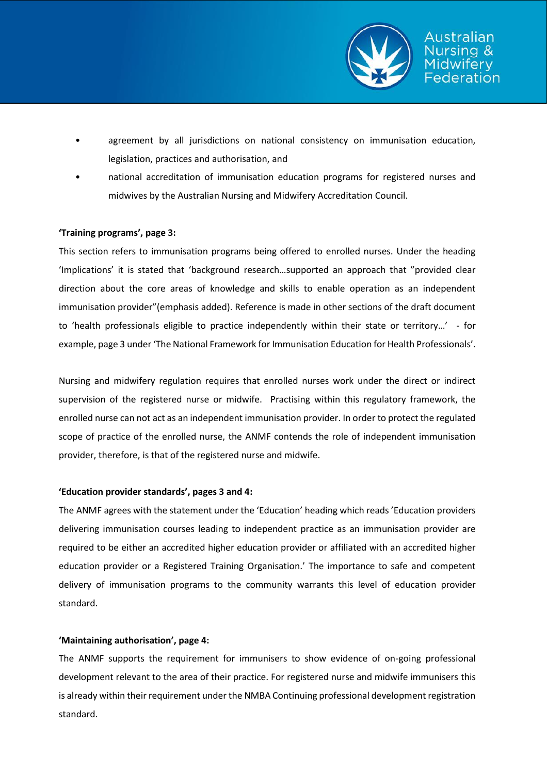

- agreement by all jurisdictions on national consistency on immunisation education, legislation, practices and authorisation, and
- national accreditation of immunisation education programs for registered nurses and midwives by the Australian Nursing and Midwifery Accreditation Council.

### **'Training programs', page 3:**

This section refers to immunisation programs being offered to enrolled nurses. Under the heading 'Implications' it is stated that 'background research…supported an approach that "provided clear direction about the core areas of knowledge and skills to enable operation as an independent immunisation provider"(emphasis added). Reference is made in other sections of the draft document to 'health professionals eligible to practice independently within their state or territory…' - for example, page 3 under 'The National Framework for Immunisation Education for Health Professionals'.

Nursing and midwifery regulation requires that enrolled nurses work under the direct or indirect supervision of the registered nurse or midwife. Practising within this regulatory framework, the enrolled nurse can not act as an independent immunisation provider. In order to protect the regulated scope of practice of the enrolled nurse, the ANMF contends the role of independent immunisation provider, therefore, is that of the registered nurse and midwife.

#### **'Education provider standards', pages 3 and 4:**

The ANMF agrees with the statement under the 'Education' heading which reads 'Education providers delivering immunisation courses leading to independent practice as an immunisation provider are required to be either an accredited higher education provider or affiliated with an accredited higher education provider or a Registered Training Organisation.' The importance to safe and competent delivery of immunisation programs to the community warrants this level of education provider standard.

# **'Maintaining authorisation', page 4:**

The ANMF supports the requirement for immunisers to show evidence of on-going professional development relevant to the area of their practice. For registered nurse and midwife immunisers this is already within their requirement under the NMBA Continuing professional development registration standard.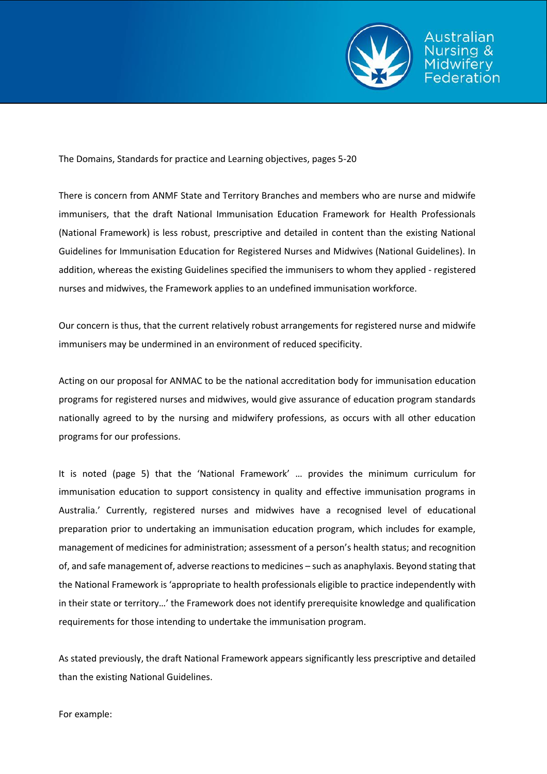

Australian

The Domains, Standards for practice and Learning objectives, pages 5-20

There is concern from ANMF State and Territory Branches and members who are nurse and midwife immunisers, that the draft National Immunisation Education Framework for Health Professionals (National Framework) is less robust, prescriptive and detailed in content than the existing National Guidelines for Immunisation Education for Registered Nurses and Midwives (National Guidelines). In addition, whereas the existing Guidelines specified the immunisers to whom they applied - registered nurses and midwives, the Framework applies to an undefined immunisation workforce.

Our concern is thus, that the current relatively robust arrangements for registered nurse and midwife immunisers may be undermined in an environment of reduced specificity.

Acting on our proposal for ANMAC to be the national accreditation body for immunisation education programs for registered nurses and midwives, would give assurance of education program standards nationally agreed to by the nursing and midwifery professions, as occurs with all other education programs for our professions.

It is noted (page 5) that the 'National Framework' … provides the minimum curriculum for immunisation education to support consistency in quality and effective immunisation programs in Australia.' Currently, registered nurses and midwives have a recognised level of educational preparation prior to undertaking an immunisation education program, which includes for example, management of medicines for administration; assessment of a person's health status; and recognition of, and safe management of, adverse reactions to medicines – such as anaphylaxis. Beyond stating that the National Framework is 'appropriate to health professionals eligible to practice independently with in their state or territory…' the Framework does not identify prerequisite knowledge and qualification requirements for those intending to undertake the immunisation program.

As stated previously, the draft National Framework appears significantly less prescriptive and detailed than the existing National Guidelines.

For example: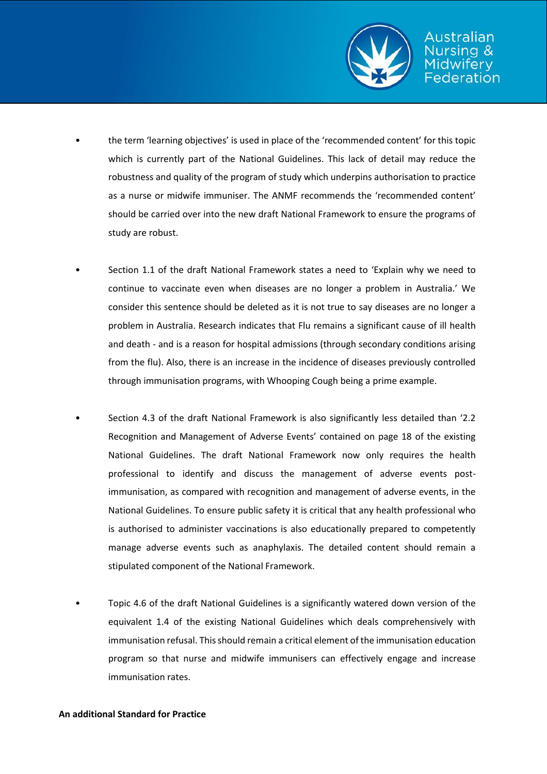

- the term 'learning objectives' is used in place of the 'recommended content' for this topic which is currently part of the National Guidelines. This lack of detail may reduce the robustness and quality of the program of study which underpins authorisation to practice as a nurse or midwife immuniser. The ANMF recommends the 'recommended content' should be carried over into the new draft National Framework to ensure the programs of study are robust.
- Section 1.1 of the draft National Framework states a need to 'Explain why we need to continue to vaccinate even when diseases are no longer a problem in Australia.' We consider this sentence should be deleted as it is not true to say diseases are no longer a problem in Australia. Research indicates that Flu remains a significant cause of ill health and death - and is a reason for hospital admissions (through secondary conditions arising from the flu). Also, there is an increase in the incidence of diseases previously controlled through immunisation programs, with Whooping Cough being a prime example.
- Section 4.3 of the draft National Framework is also significantly less detailed than '2.2 Recognition and Management of Adverse Events' contained on page 18 of the existing National Guidelines. The draft National Framework now only requires the health professional to identify and discuss the management of adverse events postimmunisation, as compared with recognition and management of adverse events, in the National Guidelines. To ensure public safety it is critical that any health professional who is authorised to administer vaccinations is also educationally prepared to competently manage adverse events such as anaphylaxis. The detailed content should remain a stipulated component of the National Framework.
- Topic 4.6 of the draft National Guidelines is a significantly watered down version of the equivalent 1.4 of the existing National Guidelines which deals comprehensively with immunisation refusal. This should remain a critical element of the immunisation education program so that nurse and midwife immunisers can effectively engage and increase immunisation rates.